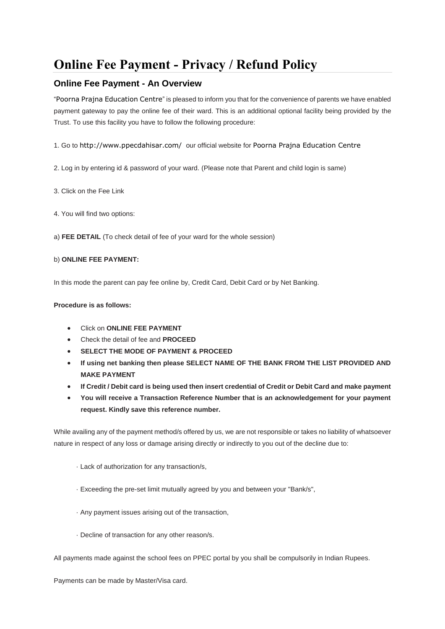# **Online Fee Payment - Privacy / Refund Policy**

## **Online Fee Payment - An Overview**

"Poorna Prajna Education Centre" is pleased to inform you that for the convenience of parents we have enabled payment gateway to pay the online fee of their ward. This is an additional optional facility being provided by the Trust. To use this facility you have to follow the following procedure:

1. Go to <http://www.ppecdahisar.com/> our official website for Poorna Prajna Education Centre

- 2. Log in by entering id & password of your ward. (Please note that Parent and child login is same)
- 3. Click on the Fee Link
- 4. You will find two options:

a) **FEE DETAIL** (To check detail of fee of your ward for the whole session)

#### b) **ONLINE FEE PAYMENT:**

In this mode the parent can pay fee online by, Credit Card, Debit Card or by Net Banking.

#### **Procedure is as follows:**

- Click on **ONLINE FEE PAYMENT**
- Check the detail of fee and **PROCEED**
- **SELECT THE MODE OF PAYMENT & PROCEED**
- **If using net banking then please SELECT NAME OF THE BANK FROM THE LIST PROVIDED AND MAKE PAYMENT**
- **If Credit / Debit card is being used then insert credential of Credit or Debit Card and make payment**
- **You will receive a Transaction Reference Number that is an acknowledgement for your payment request. Kindly save this reference number.**

While availing any of the payment method/s offered by us, we are not responsible or takes no liability of whatsoever nature in respect of any loss or damage arising directly or indirectly to you out of the decline due to:

- · Lack of authorization for any transaction/s,
- · Exceeding the pre-set limit mutually agreed by you and between your "Bank/s",
- · Any payment issues arising out of the transaction,
- · Decline of transaction for any other reason/s.

All payments made against the school fees on PPEC portal by you shall be compulsorily in Indian Rupees.

Payments can be made by Master/Visa card.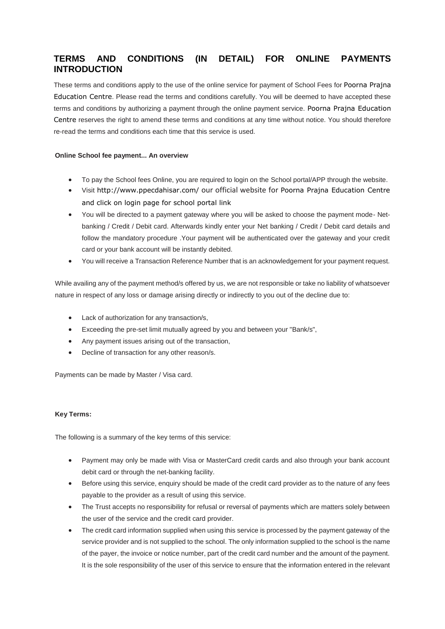# **TERMS AND CONDITIONS (IN DETAIL) FOR ONLINE PAYMENTS INTRODUCTION**

These terms and conditions apply to the use of the online service for payment of School Fees for Poorna Prajna Education Centre. Please read the terms and conditions carefully. You will be deemed to have accepted these terms and conditions by authorizing a payment through the online payment service. Poorna Prajna Education Centre reserves the right to amend these terms and conditions at any time without notice. You should therefore re-read the terms and conditions each time that this service is used.

#### **Online School fee payment... An overview**

- To pay the School fees Online, you are required to login on the School portal/APP through the website.
- Visit <http://www.ppecdahisar.com/> our official website for Poorna Prajna Education Centre and click on login page for school portal link
- You will be directed to a payment gateway where you will be asked to choose the payment mode- Netbanking / Credit / Debit card. Afterwards kindly enter your Net banking / Credit / Debit card details and follow the mandatory procedure .Your payment will be authenticated over the gateway and your credit card or your bank account will be instantly debited.
- You will receive a Transaction Reference Number that is an acknowledgement for your payment request.

While availing any of the payment method/s offered by us, we are not responsible or take no liability of whatsoever nature in respect of any loss or damage arising directly or indirectly to you out of the decline due to:

- Lack of authorization for any transaction/s,
- Exceeding the pre-set limit mutually agreed by you and between your "Bank/s",
- Any payment issues arising out of the transaction,
- Decline of transaction for any other reason/s.

Payments can be made by Master / Visa card.

#### **Key Terms:**

The following is a summary of the key terms of this service:

- Payment may only be made with Visa or MasterCard credit cards and also through your bank account debit card or through the net-banking facility.
- Before using this service, enquiry should be made of the credit card provider as to the nature of any fees payable to the provider as a result of using this service.
- The Trust accepts no responsibility for refusal or reversal of payments which are matters solely between the user of the service and the credit card provider.
- The credit card information supplied when using this service is processed by the payment gateway of the service provider and is not supplied to the school. The only information supplied to the school is the name of the payer, the invoice or notice number, part of the credit card number and the amount of the payment. It is the sole responsibility of the user of this service to ensure that the information entered in the relevant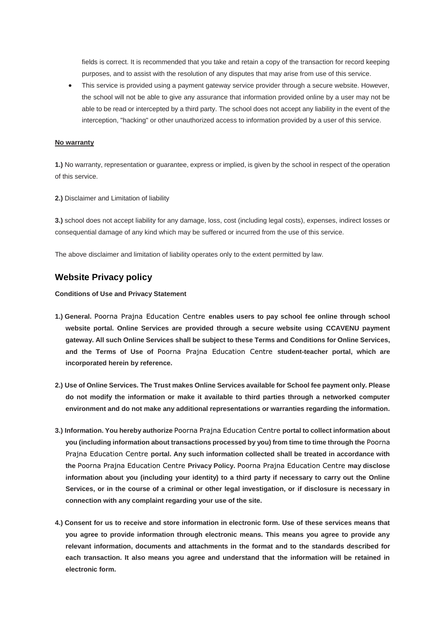fields is correct. It is recommended that you take and retain a copy of the transaction for record keeping purposes, and to assist with the resolution of any disputes that may arise from use of this service.

 This service is provided using a payment gateway service provider through a secure website. However, the school will not be able to give any assurance that information provided online by a user may not be able to be read or intercepted by a third party. The school does not accept any liability in the event of the interception, "hacking" or other unauthorized access to information provided by a user of this service.

#### **No warranty**

**1.)** No warranty, representation or guarantee, express or implied, is given by the school in respect of the operation of this service.

**2.)** Disclaimer and Limitation of liability

**3.)** school does not accept liability for any damage, loss, cost (including legal costs), expenses, indirect losses or consequential damage of any kind which may be suffered or incurred from the use of this service.

The above disclaimer and limitation of liability operates only to the extent permitted by law.

## **Website Privacy policy**

**Conditions of Use and Privacy Statement**

- **1.) General.** Poorna Prajna Education Centre **enables users to pay school fee online through school website portal. Online Services are provided through a secure website using CCAVENU payment gateway. All such Online Services shall be subject to these Terms and Conditions for Online Services, and the Terms of Use of** Poorna Prajna Education Centre **student-teacher portal, which are incorporated herein by reference.**
- **2.) Use of Online Services. The Trust makes Online Services available for School fee payment only. Please do not modify the information or make it available to third parties through a networked computer environment and do not make any additional representations or warranties regarding the information.**
- **3.) Information. You hereby authorize** Poorna Prajna Education Centre **portal to collect information about you (including information about transactions processed by you) from time to time through the** Poorna Prajna Education Centre **portal. Any such information collected shall be treated in accordance with the** Poorna Prajna Education Centre **Privacy Policy.** Poorna Prajna Education Centre **may disclose information about you (including your identity) to a third party if necessary to carry out the Online Services, or in the course of a criminal or other legal investigation, or if disclosure is necessary in connection with any complaint regarding your use of the site.**
- **4.) Consent for us to receive and store information in electronic form. Use of these services means that you agree to provide information through electronic means. This means you agree to provide any relevant information, documents and attachments in the format and to the standards described for each transaction. It also means you agree and understand that the information will be retained in electronic form.**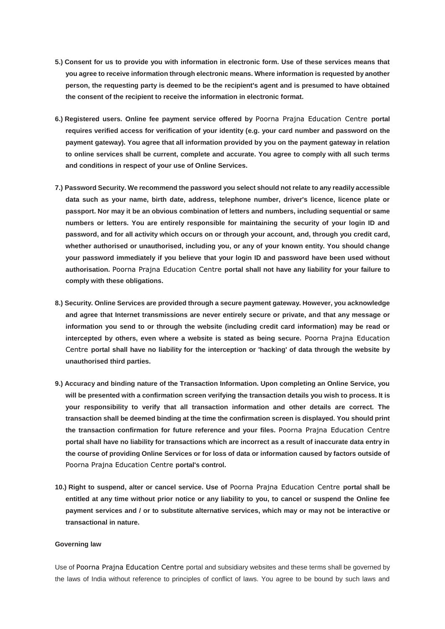- **5.) Consent for us to provide you with information in electronic form. Use of these services means that you agree to receive information through electronic means. Where information is requested by another person, the requesting party is deemed to be the recipient's agent and is presumed to have obtained the consent of the recipient to receive the information in electronic format.**
- **6.) Registered users. Online fee payment service offered by** Poorna Prajna Education Centre **portal requires verified access for verification of your identity (e.g. your card number and password on the payment gateway). You agree that all information provided by you on the payment gateway in relation to online services shall be current, complete and accurate. You agree to comply with all such terms and conditions in respect of your use of Online Services.**
- **7.) Password Security. We recommend the password you select should not relate to any readily accessible data such as your name, birth date, address, telephone number, driver's licence, licence plate or passport. Nor may it be an obvious combination of letters and numbers, including sequential or same numbers or letters. You are entirely responsible for maintaining the security of your login ID and password, and for all activity which occurs on or through your account, and, through you credit card, whether authorised or unauthorised, including you, or any of your known entity. You should change your password immediately if you believe that your login ID and password have been used without authorisation.** Poorna Prajna Education Centre **portal shall not have any liability for your failure to comply with these obligations.**
- **8.) Security. Online Services are provided through a secure payment gateway. However, you acknowledge and agree that Internet transmissions are never entirely secure or private, and that any message or information you send to or through the website (including credit card information) may be read or intercepted by others, even where a website is stated as being secure.** Poorna Prajna Education Centre **portal shall have no liability for the interception or 'hacking' of data through the website by unauthorised third parties.**
- **9.) Accuracy and binding nature of the Transaction Information. Upon completing an Online Service, you will be presented with a confirmation screen verifying the transaction details you wish to process. It is your responsibility to verify that all transaction information and other details are correct. The transaction shall be deemed binding at the time the confirmation screen is displayed. You should print the transaction confirmation for future reference and your files.** Poorna Prajna Education Centre **portal shall have no liability for transactions which are incorrect as a result of inaccurate data entry in the course of providing Online Services or for loss of data or information caused by factors outside of**  Poorna Prajna Education Centre **portal's control.**
- **10.) Right to suspend, alter or cancel service. Use of** Poorna Prajna Education Centre **portal shall be entitled at any time without prior notice or any liability to you, to cancel or suspend the Online fee payment services and / or to substitute alternative services, which may or may not be interactive or transactional in nature.**

#### **Governing law**

Use of Poorna Prajna Education Centre portal and subsidiary websites and these terms shall be governed by the laws of India without reference to principles of conflict of laws. You agree to be bound by such laws and